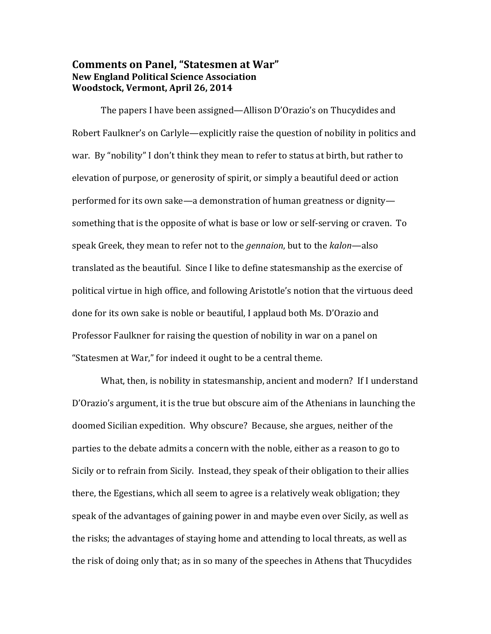## **Comments on Panel, "Statesmen at War" New England Political Science Association Woodstock, Vermont, April 26, 2014**

 The papers I have been assigned—Allison D'Orazio's on Thucydides and Robert Faulkner's on Carlyle—explicitly raise the question of nobility in politics and war. By "nobility" I don't think they mean to refer to status at birth, but rather to elevation of purpose, or generosity of spirit, or simply a beautiful deed or action performed for its own sake—a demonstration of human greatness or dignity something that is the opposite of what is base or low or self-serving or craven. To speak Greek, they mean to refer not to the *gennaion*, but to the *kalon*—also translated as the beautiful. Since I like to define statesmanship as the exercise of political virtue in high office, and following Aristotle's notion that the virtuous deed done for its own sake is noble or beautiful, I applaud both Ms. D'Orazio and Professor Faulkner for raising the question of nobility in war on a panel on "Statesmen at War," for indeed it ought to be a central theme.

 What, then, is nobility in statesmanship, ancient and modern? If I understand D'Orazio's argument, it is the true but obscure aim of the Athenians in launching the doomed Sicilian expedition. Why obscure? Because, she argues, neither of the parties to the debate admits a concern with the noble, either as a reason to go to Sicily or to refrain from Sicily. Instead, they speak of their obligation to their allies there, the Egestians, which all seem to agree is a relatively weak obligation; they speak of the advantages of gaining power in and maybe even over Sicily, as well as the risks; the advantages of staying home and attending to local threats, as well as the risk of doing only that; as in so many of the speeches in Athens that Thucydides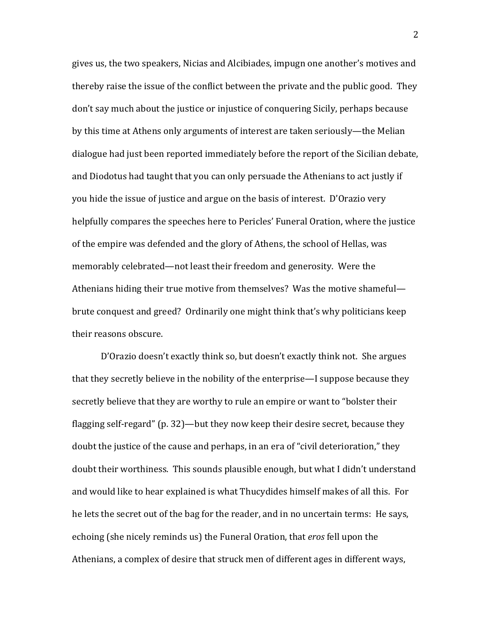gives us, the two speakers, Nicias and Alcibiades, impugn one another's motives and thereby raise the issue of the conflict between the private and the public good. They don't say much about the justice or injustice of conquering Sicily, perhaps because by this time at Athens only arguments of interest are taken seriously—the Melian dialogue had just been reported immediately before the report of the Sicilian debate, and Diodotus had taught that you can only persuade the Athenians to act justly if you hide the issue of justice and argue on the basis of interest. D'Orazio very helpfully compares the speeches here to Pericles' Funeral Oration, where the justice of the empire was defended and the glory of Athens, the school of Hellas, was memorably celebrated—not least their freedom and generosity. Were the Athenians hiding their true motive from themselves? Was the motive shameful brute conquest and greed? Ordinarily one might think that's why politicians keep their reasons obscure.

 D'Orazio doesn't exactly think so, but doesn't exactly think not. She argues that they secretly believe in the nobility of the enterprise—I suppose because they secretly believe that they are worthy to rule an empire or want to "bolster their flagging self-regard" (p. 32)—but they now keep their desire secret, because they doubt the justice of the cause and perhaps, in an era of "civil deterioration," they doubt their worthiness. This sounds plausible enough, but what I didn't understand and would like to hear explained is what Thucydides himself makes of all this. For he lets the secret out of the bag for the reader, and in no uncertain terms: He says, echoing (she nicely reminds us) the Funeral Oration, that *eros* fell upon the Athenians, a complex of desire that struck men of different ages in different ways,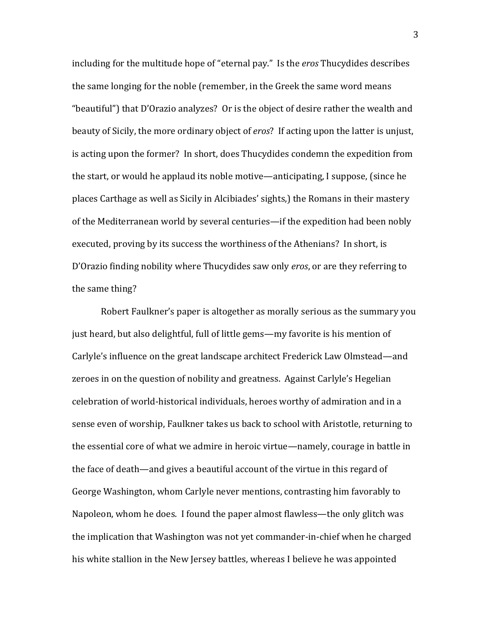including for the multitude hope of "eternal pay." Is the *eros* Thucydides describes the same longing for the noble (remember, in the Greek the same word means "beautiful") that D'Orazio analyzes? Or is the object of desire rather the wealth and beauty of Sicily, the more ordinary object of *eros*? If acting upon the latter is unjust, is acting upon the former? In short, does Thucydides condemn the expedition from the start, or would he applaud its noble motive—anticipating, I suppose, (since he places Carthage as well as Sicily in Alcibiades' sights,) the Romans in their mastery of the Mediterranean world by several centuries—if the expedition had been nobly executed, proving by its success the worthiness of the Athenians? In short, is D'Orazio finding nobility where Thucydides saw only *eros*, or are they referring to the same thing?

 Robert Faulkner's paper is altogether as morally serious as the summary you just heard, but also delightful, full of little gems—my favorite is his mention of Carlyle's influence on the great landscape architect Frederick Law Olmstead—and zeroes in on the question of nobility and greatness. Against Carlyle's Hegelian celebration of world-historical individuals, heroes worthy of admiration and in a sense even of worship, Faulkner takes us back to school with Aristotle, returning to the essential core of what we admire in heroic virtue—namely, courage in battle in the face of death—and gives a beautiful account of the virtue in this regard of George Washington, whom Carlyle never mentions, contrasting him favorably to Napoleon, whom he does. I found the paper almost flawless—the only glitch was the implication that Washington was not yet commander-in-chief when he charged his white stallion in the New Jersey battles, whereas I believe he was appointed

3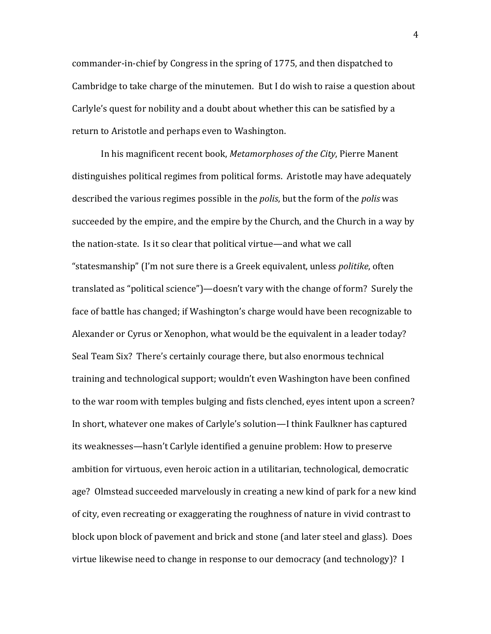commander-in-chief by Congress in the spring of 1775, and then dispatched to Cambridge to take charge of the minutemen. But I do wish to raise a question about Carlyle's quest for nobility and a doubt about whether this can be satisfied by a return to Aristotle and perhaps even to Washington.

 In his magnificent recent book, *Metamorphoses of the City*, Pierre Manent distinguishes political regimes from political forms. Aristotle may have adequately described the various regimes possible in the *polis*, but the form of the *polis* was succeeded by the empire, and the empire by the Church, and the Church in a way by the nation-state. Is it so clear that political virtue—and what we call "statesmanship" (I'm not sure there is a Greek equivalent, unless *politike*, often translated as "political science")—doesn't vary with the change of form? Surely the face of battle has changed; if Washington's charge would have been recognizable to Alexander or Cyrus or Xenophon, what would be the equivalent in a leader today? Seal Team Six? There's certainly courage there, but also enormous technical training and technological support; wouldn't even Washington have been confined to the war room with temples bulging and fists clenched, eyes intent upon a screen? In short, whatever one makes of Carlyle's solution—I think Faulkner has captured its weaknesses—hasn't Carlyle identified a genuine problem: How to preserve ambition for virtuous, even heroic action in a utilitarian, technological, democratic age? Olmstead succeeded marvelously in creating a new kind of park for a new kind of city, even recreating or exaggerating the roughness of nature in vivid contrast to block upon block of pavement and brick and stone (and later steel and glass). Does virtue likewise need to change in response to our democracy (and technology)? I